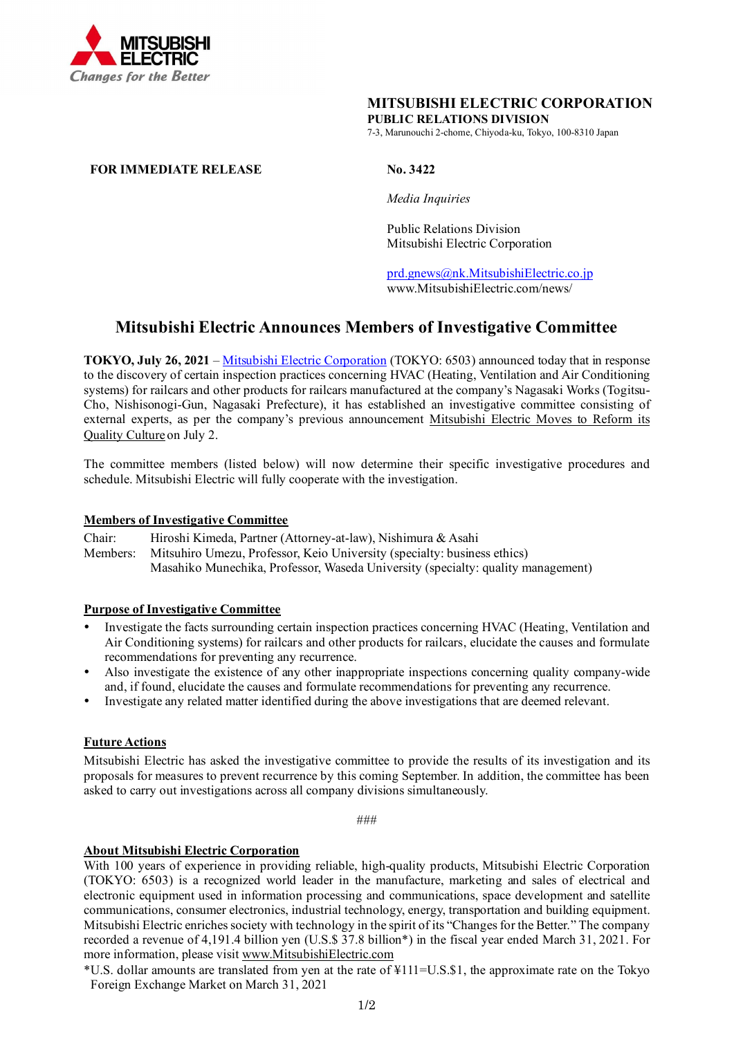

### **MITSUBISHI ELECTRIC CORPORATION PUBLIC RELATIONS DIVISION**

7-3, Marunouchi 2-chome, Chiyoda-ku, Tokyo, 100-8310 Japan

### **FOR IMMEDIATE RELEASE No. 3422**

*Media Inquiries*

Public Relations Division Mitsubishi Electric Corporation

[prd.gnews@nk.MitsubishiElectric.co.jp](mailto:prd.gnews@nk.MitsubishiElectric.co.jp) www.MitsubishiElectric.com/news/

# **Mitsubishi Electric Announces Members of Investigative Committee**

**TOKYO, July 26, 2021** – [Mitsubishi Electric Corporation](http://www.mitsubishielectric.com/) (TOKYO: 6503) announced today that in response to the discovery of certain inspection practices concerning HVAC (Heating, Ventilation and Air Conditioning systems) for railcars and other products for railcars manufactured at the company's Nagasaki Works (Togitsu-Cho, Nishisonogi-Gun, Nagasaki Prefecture), it has established an investigative committee consisting of external experts, as per the company's previous announcement [Mitsubishi Electric Moves to Reform its](https://www.mitsubishielectric.com/news/2021/pdf/0705-c.pdf)  [Quality Culture](https://www.mitsubishielectric.com/news/2021/pdf/0705-c.pdf) on July 2.

The committee members (listed below) will now determine their specific investigative procedures and schedule. Mitsubishi Electric will fully cooperate with the investigation.

#### **Members of Investigative Committee**

Chair: Hiroshi Kimeda, Partner (Attorney-at-law), Nishimura & Asahi Members: Mitsuhiro Umezu, Professor, Keio University (specialty: business ethics) Masahiko Munechika, Professor, Waseda University (specialty: quality management)

#### **Purpose of Investigative Committee**

- Investigate the facts surrounding certain inspection practices concerning HVAC (Heating, Ventilation and Air Conditioning systems) for railcars and other products for railcars, elucidate the causes and formulate recommendations for preventing any recurrence.
- Also investigate the existence of any other inappropriate inspections concerning quality company-wide and, if found, elucidate the causes and formulate recommendations for preventing any recurrence.
- Investigate any related matter identified during the above investigations that are deemed relevant.

## **Future Actions**

Mitsubishi Electric has asked the investigative committee to provide the results of its investigation and its proposals for measures to prevent recurrence by this coming September. In addition, the committee has been asked to carry out investigations across all company divisions simultaneously.

###

# **About Mitsubishi Electric Corporation**

With 100 years of experience in providing reliable, high-quality products, Mitsubishi Electric Corporation (TOKYO: 6503) is a recognized world leader in the manufacture, marketing and sales of electrical and electronic equipment used in information processing and communications, space development and satellite communications, consumer electronics, industrial technology, energy, transportation and building equipment. Mitsubishi Electric enriches society with technology in the spirit of its "Changes for the Better." The company recorded a revenue of 4,191.4 billion yen (U.S.\$ 37.8 billion\*) in the fiscal year ended March 31, 2021. For more information, please visit www.MitsubishiElectric.com

\*U.S. dollar amounts are translated from yen at the rate of ¥111=U.S.\$1, the approximate rate on the Tokyo Foreign Exchange Market on March 31, 2021